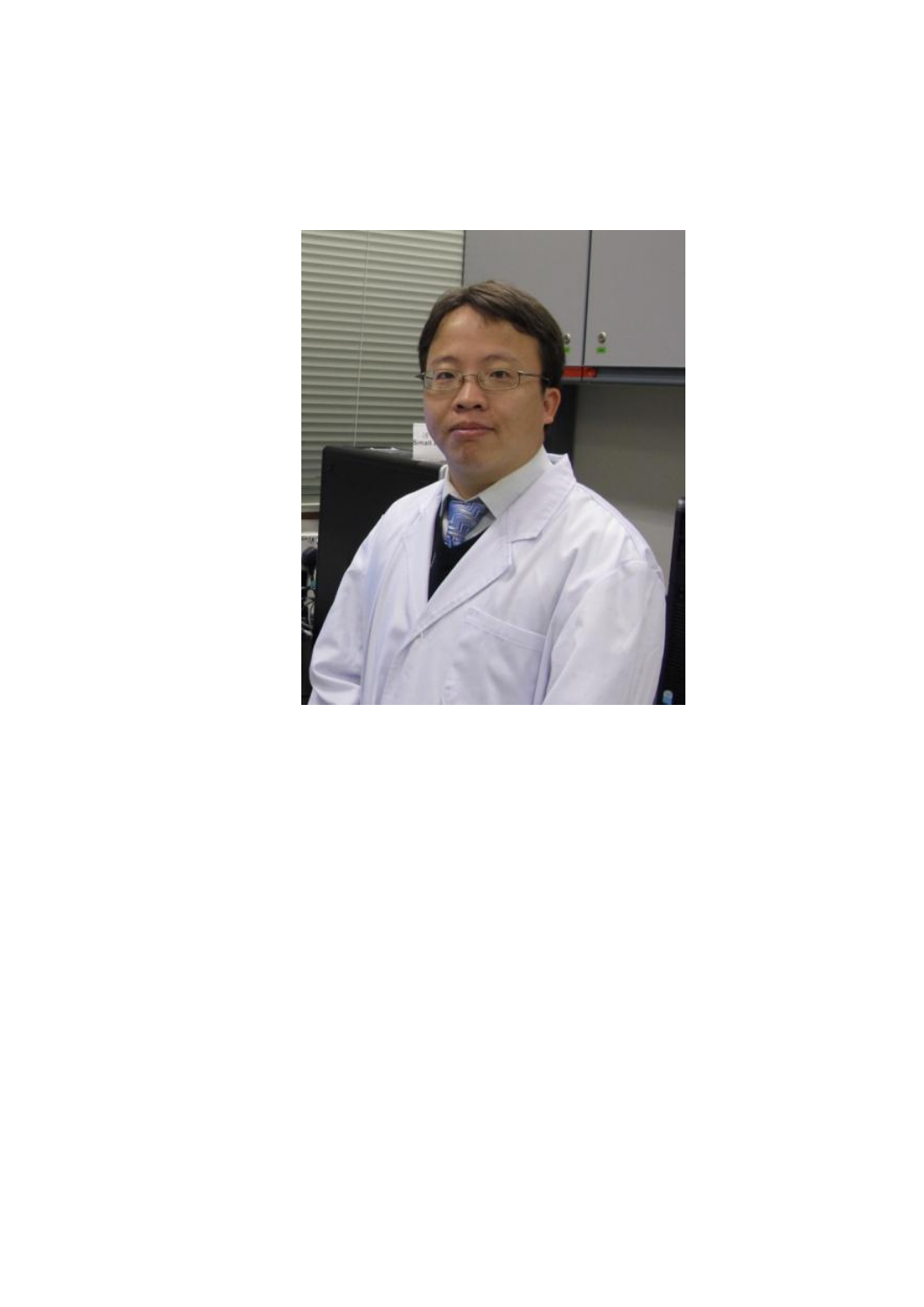